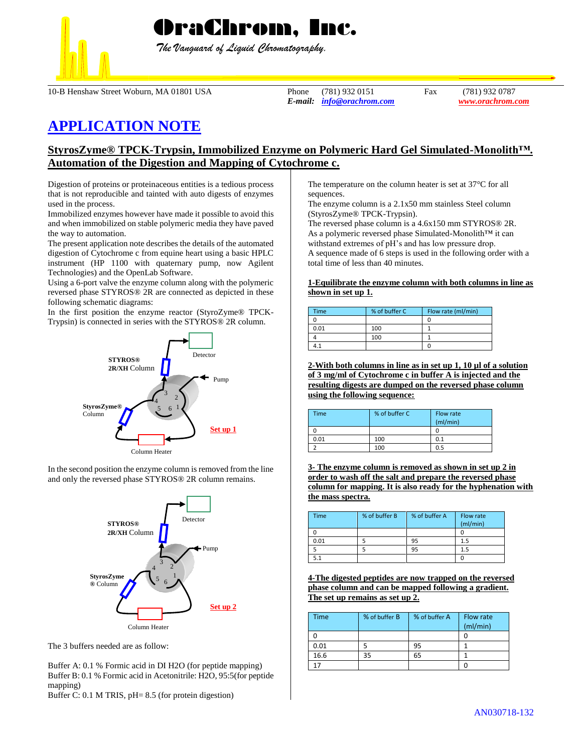

 *The Vanguard of Liquid Chromatography.*

10-B Henshaw Street Woburn, MA 01801 USA Phone (781) 932 0151 Fax (781) 932 0787

*E-mail: [info@orachrom.com](mailto:info@orachrom.com) www.orachrom.com*

# **APPLICATION NOTE**

## **StyrosZyme® TPCK-Trypsin, Immobilized Enzyme on Polymeric Hard Gel Simulated-Monolith™. Automation of the Digestion and Mapping of Cytochrome c.**

Digestion of proteins or proteinaceous entities is a tedious process that is not reproducible and tainted with auto digests of enzymes used in the process.

Immobilized enzymes however have made it possible to avoid this and when immobilized on stable polymeric media they have paved the way to automation.

The present application note describes the details of the automated digestion of Cytochrome c from equine heart using a basic HPLC instrument (HP 1100 with quaternary pump, now Agilent Technologies) and the OpenLab Software.

Using a 6-port valve the enzyme column along with the polymeric reversed phase STYROS® 2R are connected as depicted in these following schematic diagrams:

In the first position the enzyme reactor (StyroZyme® TPCK-Trypsin) is connected in series with the STYROS® 2R column.



In the second position the enzyme column is removed from the line and only the reversed phase STYROS® 2R column remains.



The 3 buffers needed are as follow:

Buffer A: 0.1 % Formic acid in DI H2O (for peptide mapping) Buffer B: 0.1 % Formic acid in Acetonitrile: H2O, 95:5(for peptide mapping)

Buffer C: 0.1 M TRIS, pH= 8.5 (for protein digestion)

The temperature on the column heater is set at 37°C for all sequences.

The enzyme column is a 2.1x50 mm stainless Steel column (StyrosZyme® TPCK-Trypsin).

The reversed phase column is a 4.6x150 mm STYROS® 2R. As a polymeric reversed phase Simulated-Monolith™ it can withstand extremes of pH's and has low pressure drop. A sequence made of 6 steps is used in the following order with a total time of less than 40 minutes.

#### **1-Equilibrate the enzyme column with both columns in line as shown in set up 1.**

| <b>Time</b> | % of buffer C | Flow rate (ml/min) |
|-------------|---------------|--------------------|
|             |               |                    |
| 0.01        | 100           |                    |
|             | 100           |                    |
|             |               |                    |

**2-With both columns in line as in set up 1, 10 µl of a solution of 3 mg/ml of Cytochrome c in buffer A is injected and the resulting digests are dumped on the reversed phase column using the following sequence:**

| <b>Time</b> | % of buffer C | Flow rate<br>(mI/min) |
|-------------|---------------|-----------------------|
|             |               |                       |
| 0.01        | 100           | 0.1                   |
|             | 100           | 0.5                   |

**3- The enzyme column is removed as shown in set up 2 in order to wash off the salt and prepare the reversed phase column for mapping. It is also ready for the hyphenation with the mass spectra.** 

| <b>Time</b> | % of buffer B | % of buffer A | Flow rate<br>(ml/min) |
|-------------|---------------|---------------|-----------------------|
|             |               |               |                       |
| 0.01        |               | 95            | 1.5                   |
|             |               | 95            | 1.5                   |
|             |               |               |                       |

**4-The digested peptides are now trapped on the reversed phase column and can be mapped following a gradient. The set up remains as set up 2.**

| <b>Time</b> | % of buffer B | % of buffer A | Flow rate<br>(mI/min) |
|-------------|---------------|---------------|-----------------------|
|             |               |               |                       |
| 0.01        |               | 95            |                       |
| 16.6        | 35            | 65            |                       |
| 17          |               |               |                       |